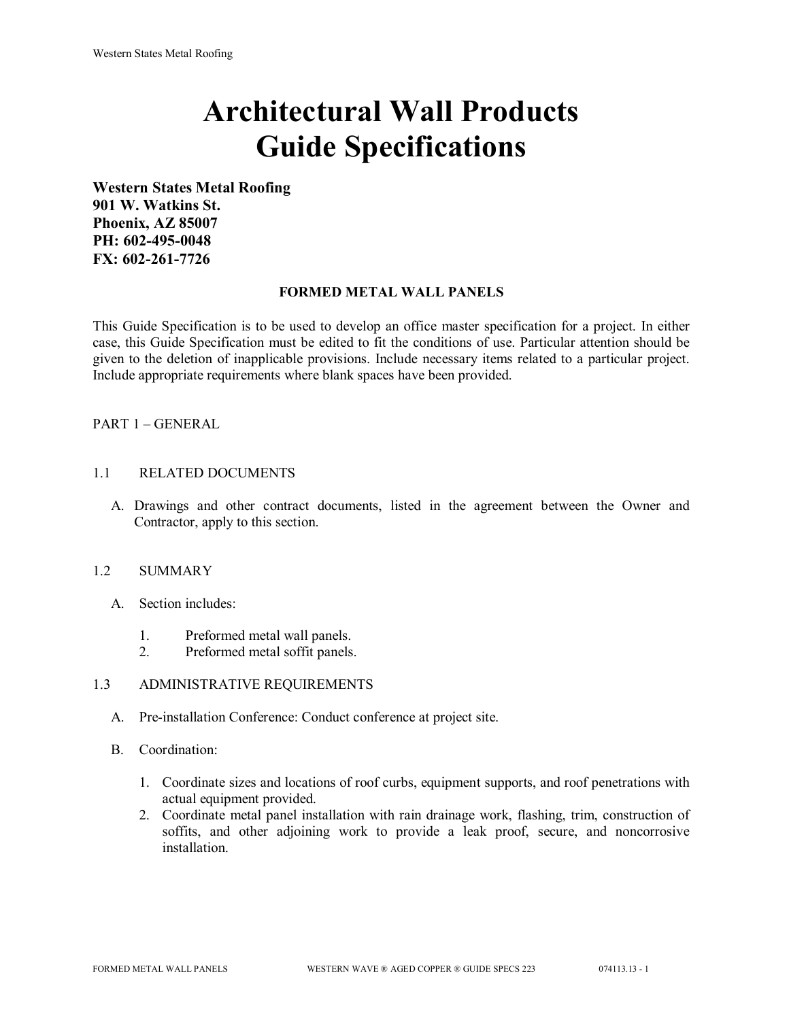# **Architectural Wall Products Guide Specifications**

**Western States Metal Roofing 901 W. Watkins St. Phoenix, AZ 85007 PH: 602-495-0048 FX: 602-261-7726**

## **FORMED METAL WALL PANELS**

This Guide Specification is to be used to develop an office master specification for a project. In either case, this Guide Specification must be edited to fit the conditions of use. Particular attention should be given to the deletion of inapplicable provisions. Include necessary items related to a particular project. Include appropriate requirements where blank spaces have been provided.

# PART 1 – GENERAL

## 1.1 RELATED DOCUMENTS

A. Drawings and other contract documents, listed in the agreement between the Owner and Contractor, apply to this section.

## 1.2 SUMMARY

- A. Section includes:
	- 1. Preformed metal wall panels.
	- 2. Preformed metal soffit panels.

#### 1.3 ADMINISTRATIVE REQUIREMENTS

- A. Pre-installation Conference: Conduct conference at project site.
- B. Coordination:
	- 1. Coordinate sizes and locations of roof curbs, equipment supports, and roof penetrations with actual equipment provided.
	- 2. Coordinate metal panel installation with rain drainage work, flashing, trim, construction of soffits, and other adjoining work to provide a leak proof, secure, and noncorrosive installation.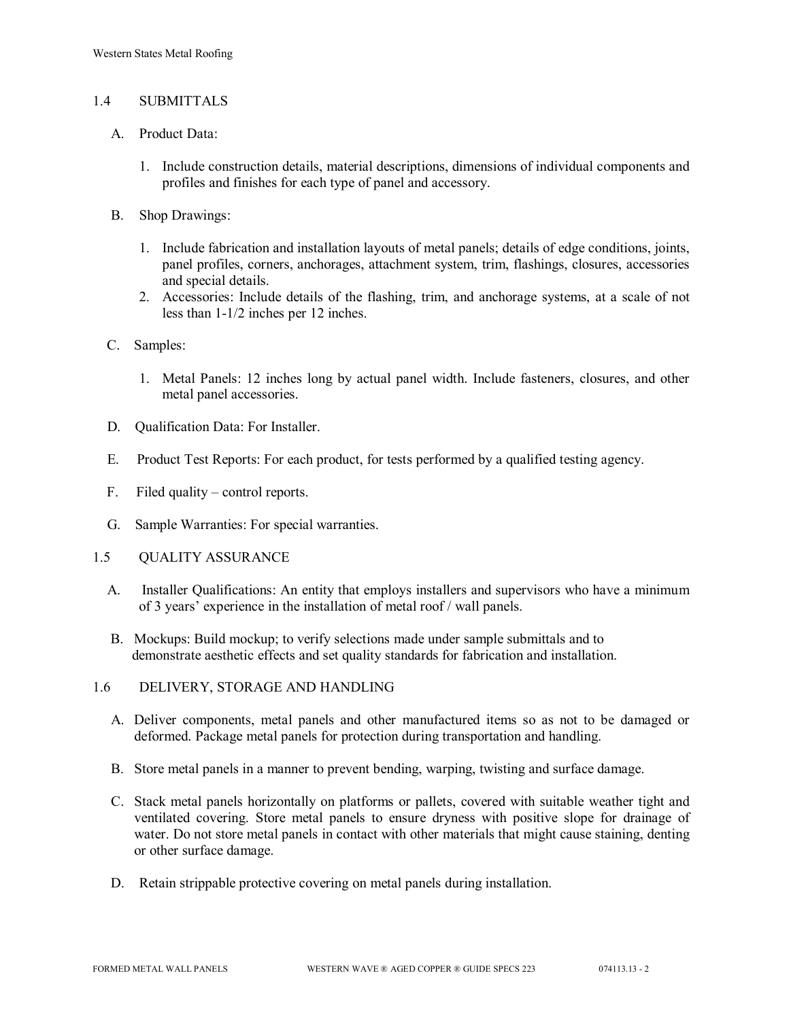## 1.4 SUBMITTALS

- A. Product Data:
	- 1. Include construction details, material descriptions, dimensions of individual components and profiles and finishes for each type of panel and accessory.
- B. Shop Drawings:
	- 1. Include fabrication and installation layouts of metal panels; details of edge conditions, joints, panel profiles, corners, anchorages, attachment system, trim, flashings, closures, accessories and special details.
	- 2. Accessories: Include details of the flashing, trim, and anchorage systems, at a scale of not less than 1-1/2 inches per 12 inches.
- C. Samples:
	- 1. Metal Panels: 12 inches long by actual panel width. Include fasteners, closures, and other metal panel accessories.
- D. Qualification Data: For Installer.
- E. Product Test Reports: For each product, for tests performed by a qualified testing agency.
- F. Filed quality control reports.
- G. Sample Warranties: For special warranties.
- 1.5 QUALITY ASSURANCE
	- A. Installer Qualifications: An entity that employs installers and supervisors who have a minimum of 3 years' experience in the installation of metal roof / wall panels.
	- B. Mockups: Build mockup; to verify selections made under sample submittals and to demonstrate aesthetic effects and set quality standards for fabrication and installation.
- 1.6 DELIVERY, STORAGE AND HANDLING
	- A. Deliver components, metal panels and other manufactured items so as not to be damaged or deformed. Package metal panels for protection during transportation and handling.
	- B. Store metal panels in a manner to prevent bending, warping, twisting and surface damage.
	- C. Stack metal panels horizontally on platforms or pallets, covered with suitable weather tight and ventilated covering. Store metal panels to ensure dryness with positive slope for drainage of water. Do not store metal panels in contact with other materials that might cause staining, denting or other surface damage.
	- D. Retain strippable protective covering on metal panels during installation.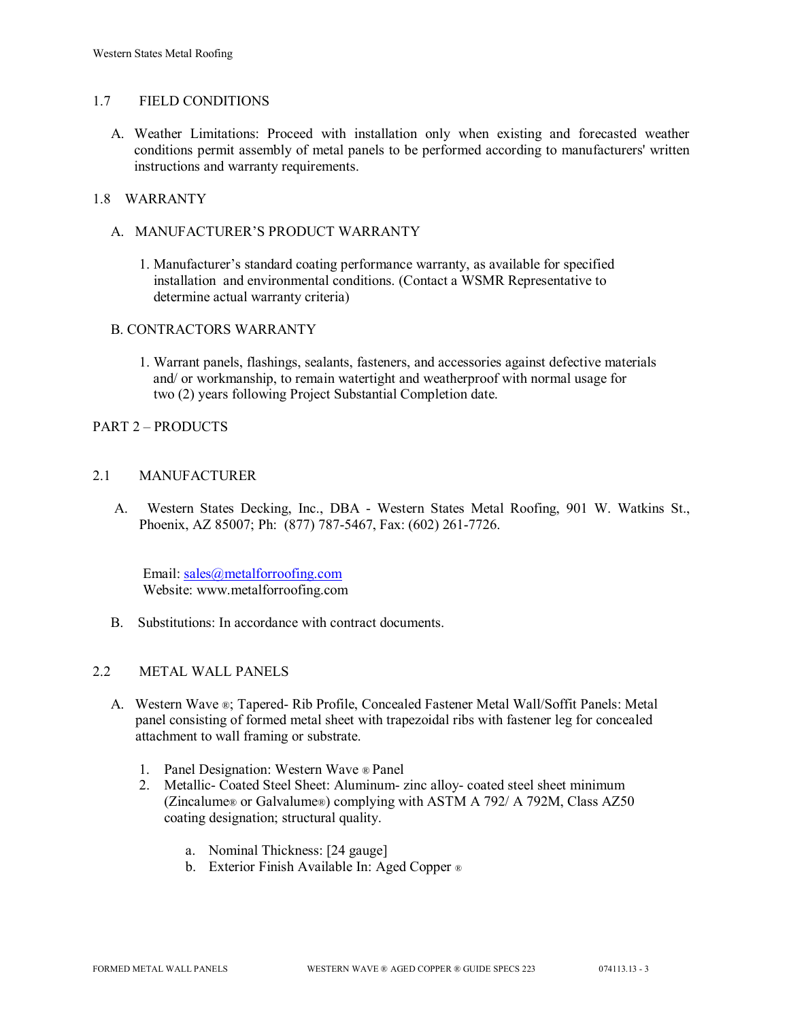## 1.7 FIELD CONDITIONS

A. Weather Limitations: Proceed with installation only when existing and forecasted weather conditions permit assembly of metal panels to be performed according to manufacturers' written instructions and warranty requirements.

## 1.8 WARRANTY

- A. MANUFACTURER'S PRODUCT WARRANTY
	- 1. Manufacturer's standard coating performance warranty, as available for specified installation and environmental conditions. (Contact a WSMR Representative to determine actual warranty criteria)

## B. CONTRACTORS WARRANTY

1. Warrant panels, flashings, sealants, fasteners, and accessories against defective materials and/ or workmanship, to remain watertight and weatherproof with normal usage for two (2) years following Project Substantial Completion date.

## PART 2 – PRODUCTS

## 2.1 MANUFACTURER

 A. Western States Decking, Inc., DBA - Western States Metal Roofing, 901 W. Watkins St., Phoenix, AZ 85007; Ph: (877) 787-5467, Fax: (602) 261-7726.

Email: [sales@metalforroofing.com](mailto:sales@metalforroofing.com) Website: www.metalforroofing.com

B. Substitutions: In accordance with contract documents.

#### 2.2 METAL WALL PANELS

- A. Western Wave ®; Tapered- Rib Profile, Concealed Fastener Metal Wall/Soffit Panels: Metal panel consisting of formed metal sheet with trapezoidal ribs with fastener leg for concealed attachment to wall framing or substrate.
	- 1. Panel Designation: Western Wave ® Panel
	- 2. Metallic- Coated Steel Sheet: Aluminum- zinc alloy- coated steel sheet minimum (Zincalume® or Galvalume®) complying with ASTM A 792/ A 792M, Class AZ50 coating designation; structural quality.
		- a. Nominal Thickness: [24 gauge]
		- b. Exterior Finish Available In: Aged Copper ®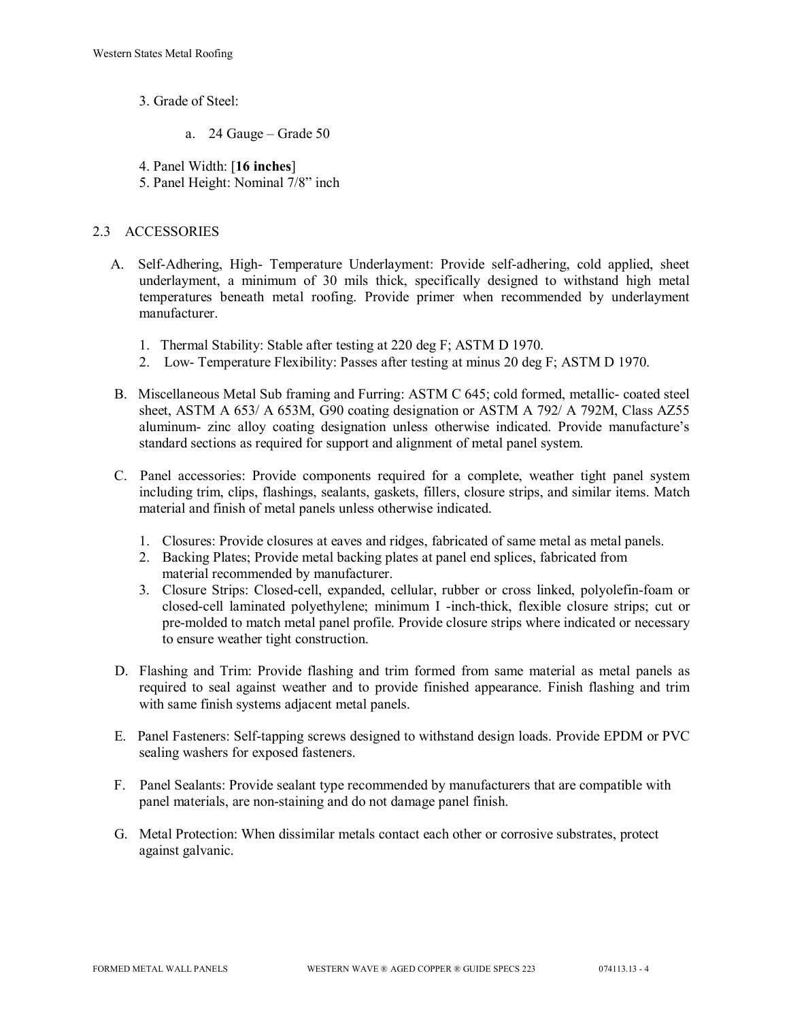- 3. Grade of Steel:
	- a. 24 Gauge Grade 50

4. Panel Width: [**16 inches**]

5. Panel Height: Nominal 7/8" inch

# 2.3 ACCESSORIES

- A. Self-Adhering, High- Temperature Underlayment: Provide self-adhering, cold applied, sheet underlayment, a minimum of 30 mils thick, specifically designed to withstand high metal temperatures beneath metal roofing. Provide primer when recommended by underlayment manufacturer.
	- 1. Thermal Stability: Stable after testing at 220 deg F; ASTM D 1970.
	- 2. Low- Temperature Flexibility: Passes after testing at minus 20 deg F; ASTM D 1970.
- B. Miscellaneous Metal Sub framing and Furring: ASTM C 645; cold formed, metallic- coated steel sheet, ASTM A 653/ A 653M, G90 coating designation or ASTM A 792/ A 792M, Class AZ55 aluminum- zinc alloy coating designation unless otherwise indicated. Provide manufacture's standard sections as required for support and alignment of metal panel system.
- C. Panel accessories: Provide components required for a complete, weather tight panel system including trim, clips, flashings, sealants, gaskets, fillers, closure strips, and similar items. Match material and finish of metal panels unless otherwise indicated.
	- 1. Closures: Provide closures at eaves and ridges, fabricated of same metal as metal panels.
	- 2. Backing Plates; Provide metal backing plates at panel end splices, fabricated from material recommended by manufacturer.
	- 3. Closure Strips: Closed-cell, expanded, cellular, rubber or cross linked, polyolefin-foam or closed-cell laminated polyethylene; minimum I -inch-thick, flexible closure strips; cut or pre-molded to match metal panel profile. Provide closure strips where indicated or necessary to ensure weather tight construction.
- D. Flashing and Trim: Provide flashing and trim formed from same material as metal panels as required to seal against weather and to provide finished appearance. Finish flashing and trim with same finish systems adjacent metal panels.
- E. Panel Fasteners: Self-tapping screws designed to withstand design loads. Provide EPDM or PVC sealing washers for exposed fasteners.
- F. Panel Sealants: Provide sealant type recommended by manufacturers that are compatible with panel materials, are non-staining and do not damage panel finish.
- G. Metal Protection: When dissimilar metals contact each other or corrosive substrates, protect against galvanic.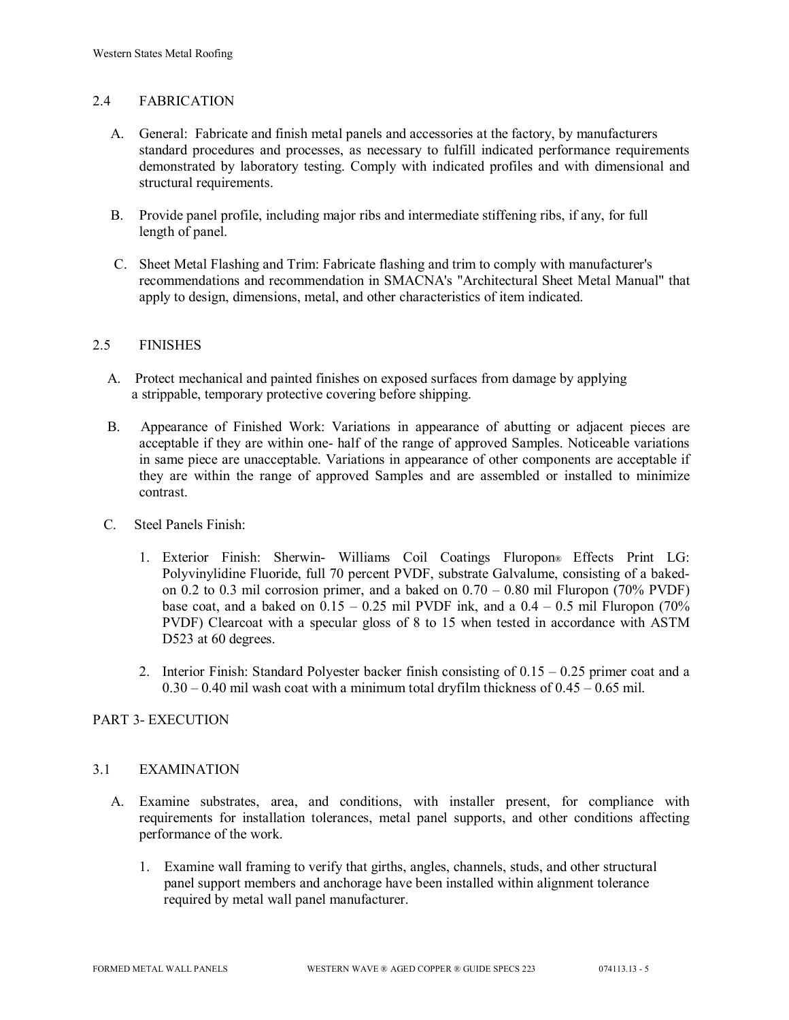## 2.4 FABRICATION

- A. General: Fabricate and finish metal panels and accessories at the factory, by manufacturers standard procedures and processes, as necessary to fulfill indicated performance requirements demonstrated by laboratory testing. Comply with indicated profiles and with dimensional and structural requirements.
- B. Provide panel profile, including major ribs and intermediate stiffening ribs, if any, for full length of panel.
- C. Sheet Metal Flashing and Trim: Fabricate flashing and trim to comply with manufacturer's recommendations and recommendation in SMACNA's "Architectural Sheet Metal Manual" that apply to design, dimensions, metal, and other characteristics of item indicated.

## 2.5 FINISHES

- A. Protect mechanical and painted finishes on exposed surfaces from damage by applying a strippable, temporary protective covering before shipping.
- B. Appearance of Finished Work: Variations in appearance of abutting or adjacent pieces are acceptable if they are within one- half of the range of approved Samples. Noticeable variations in same piece are unacceptable. Variations in appearance of other components are acceptable if they are within the range of approved Samples and are assembled or installed to minimize contrast.
- C. Steel Panels Finish:
	- 1. Exterior Finish: Sherwin- Williams Coil Coatings Fluropon® Effects Print LG: Polyvinylidine Fluoride, full 70 percent PVDF, substrate Galvalume, consisting of a bakedon 0.2 to 0.3 mil corrosion primer, and a baked on  $0.70 - 0.80$  mil Fluropon (70% PVDF) base coat, and a baked on  $0.15 - 0.25$  mil PVDF ink, and a  $0.4 - 0.5$  mil Fluropon (70%) PVDF) Clearcoat with a specular gloss of 8 to 15 when tested in accordance with ASTM D523 at 60 degrees.
	- 2. Interior Finish: Standard Polyester backer finish consisting of  $0.15 0.25$  primer coat and a  $0.30 - 0.40$  mil wash coat with a minimum total dryfilm thickness of  $0.45 - 0.65$  mil.

## PART 3- EXECUTION

#### 3.1 EXAMINATION

- A. Examine substrates, area, and conditions, with installer present, for compliance with requirements for installation tolerances, metal panel supports, and other conditions affecting performance of the work.
	- 1. Examine wall framing to verify that girths, angles, channels, studs, and other structural panel support members and anchorage have been installed within alignment tolerance required by metal wall panel manufacturer.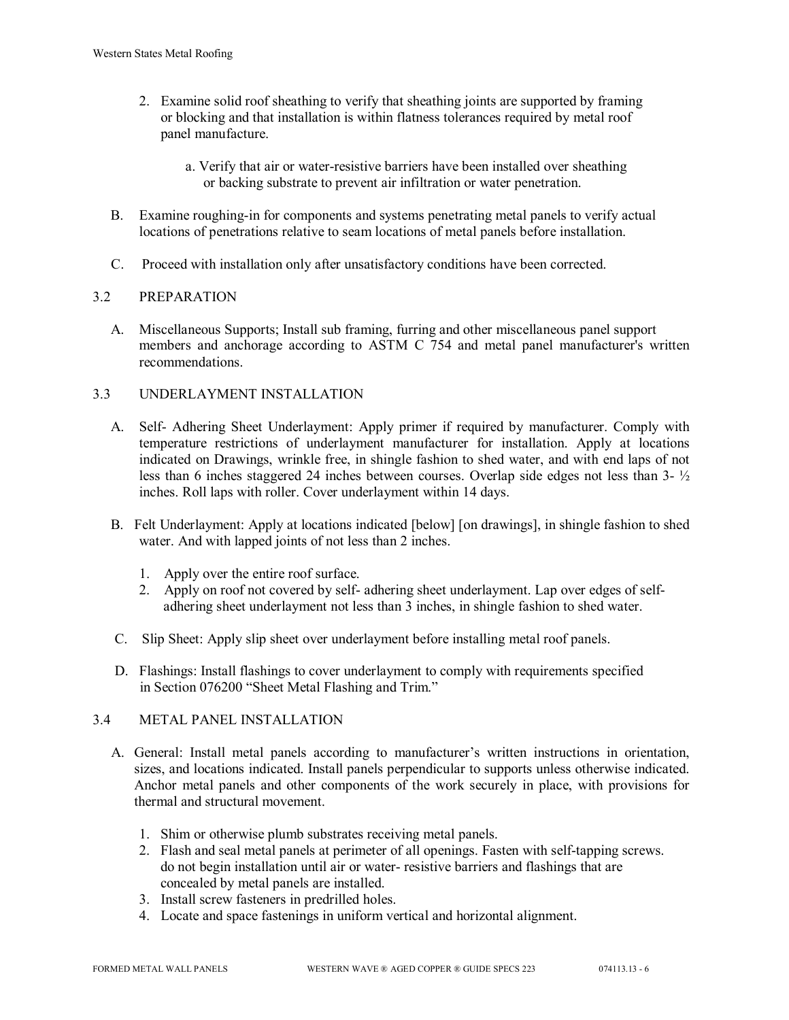- 2. Examine solid roof sheathing to verify that sheathing joints are supported by framing or blocking and that installation is within flatness tolerances required by metal roof panel manufacture.
	- a. Verify that air or water-resistive barriers have been installed over sheathing or backing substrate to prevent air infiltration or water penetration.
- B. Examine roughing-in for components and systems penetrating metal panels to verify actual locations of penetrations relative to seam locations of metal panels before installation.
- C. Proceed with installation only after unsatisfactory conditions have been corrected.

# 3.2 PREPARATION

 A. Miscellaneous Supports; Install sub framing, furring and other miscellaneous panel support members and anchorage according to ASTM C 754 and metal panel manufacturer's written recommendations.

# 3.3 UNDERLAYMENT INSTALLATION

- A. Self- Adhering Sheet Underlayment: Apply primer if required by manufacturer. Comply with temperature restrictions of underlayment manufacturer for installation. Apply at locations indicated on Drawings, wrinkle free, in shingle fashion to shed water, and with end laps of not less than 6 inches staggered 24 inches between courses. Overlap side edges not less than 3- ½ inches. Roll laps with roller. Cover underlayment within 14 days.
- B. Felt Underlayment: Apply at locations indicated [below] [on drawings], in shingle fashion to shed water. And with lapped joints of not less than 2 inches.
	- 1. Apply over the entire roof surface.
	- 2. Apply on roof not covered by self- adhering sheet underlayment. Lap over edges of self adhering sheet underlayment not less than 3 inches, in shingle fashion to shed water.
- C. Slip Sheet: Apply slip sheet over underlayment before installing metal roof panels.
- D. Flashings: Install flashings to cover underlayment to comply with requirements specified in Section 076200 "Sheet Metal Flashing and Trim."

# 3.4 METAL PANEL INSTALLATION

- A. General: Install metal panels according to manufacturer's written instructions in orientation, sizes, and locations indicated. Install panels perpendicular to supports unless otherwise indicated. Anchor metal panels and other components of the work securely in place, with provisions for thermal and structural movement.
	- 1. Shim or otherwise plumb substrates receiving metal panels.
	- 2. Flash and seal metal panels at perimeter of all openings. Fasten with self-tapping screws. do not begin installation until air or water- resistive barriers and flashings that are concealed by metal panels are installed.
	- 3. Install screw fasteners in predrilled holes.
	- 4. Locate and space fastenings in uniform vertical and horizontal alignment.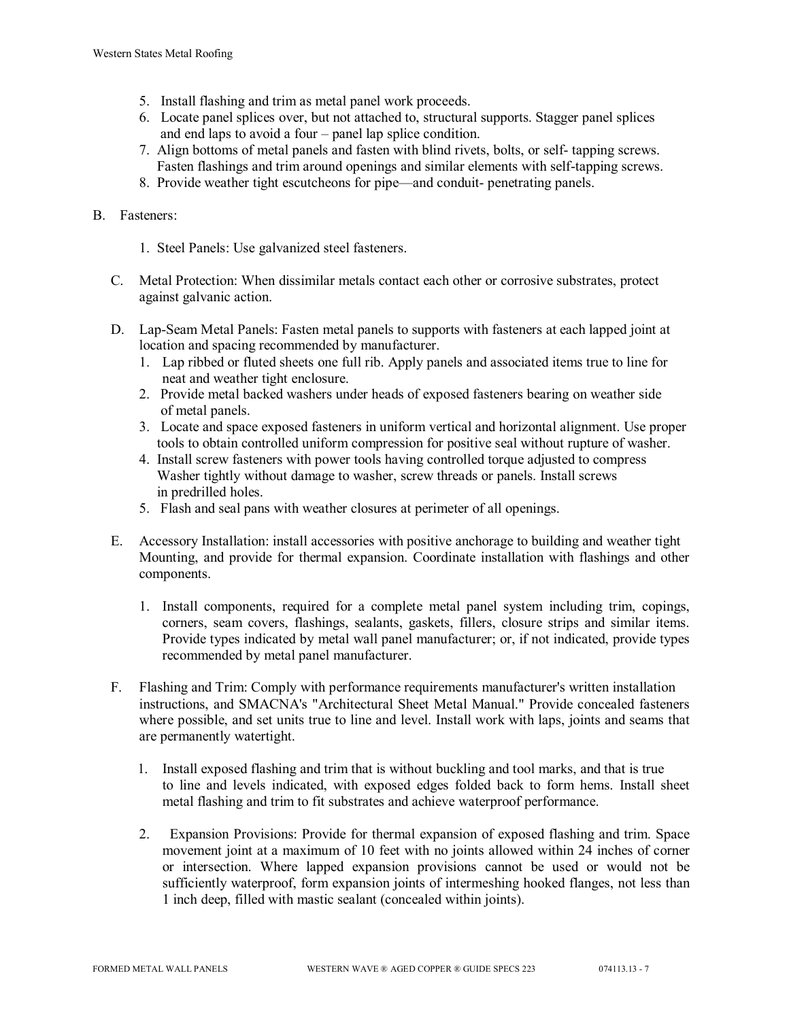- 5. Install flashing and trim as metal panel work proceeds.
- 6. Locate panel splices over, but not attached to, structural supports. Stagger panel splices and end laps to avoid a four – panel lap splice condition.
- 7. Align bottoms of metal panels and fasten with blind rivets, bolts, or self- tapping screws. Fasten flashings and trim around openings and similar elements with self-tapping screws.
- 8. Provide weather tight escutcheons for pipe—and conduit- penetrating panels.

## B. Fasteners:

- 1. Steel Panels: Use galvanized steel fasteners.
- C. Metal Protection: When dissimilar metals contact each other or corrosive substrates, protect against galvanic action.
- D. Lap-Seam Metal Panels: Fasten metal panels to supports with fasteners at each lapped joint at location and spacing recommended by manufacturer.
	- 1. Lap ribbed or fluted sheets one full rib. Apply panels and associated items true to line for neat and weather tight enclosure.
	- 2. Provide metal backed washers under heads of exposed fasteners bearing on weather side of metal panels.
	- 3. Locate and space exposed fasteners in uniform vertical and horizontal alignment. Use proper tools to obtain controlled uniform compression for positive seal without rupture of washer.
	- 4. Install screw fasteners with power tools having controlled torque adjusted to compress Washer tightly without damage to washer, screw threads or panels. Install screws in predrilled holes.
	- 5. Flash and seal pans with weather closures at perimeter of all openings.
- E. Accessory Installation: install accessories with positive anchorage to building and weather tight Mounting, and provide for thermal expansion. Coordinate installation with flashings and other components.
	- 1. Install components, required for a complete metal panel system including trim, copings, corners, seam covers, flashings, sealants, gaskets, fillers, closure strips and similar items. Provide types indicated by metal wall panel manufacturer; or, if not indicated, provide types recommended by metal panel manufacturer.
- F. Flashing and Trim: Comply with performance requirements manufacturer's written installation instructions, and SMACNA's "Architectural Sheet Metal Manual." Provide concealed fasteners where possible, and set units true to line and level. Install work with laps, joints and seams that are permanently watertight.
	- 1. Install exposed flashing and trim that is without buckling and tool marks, and that is true to line and levels indicated, with exposed edges folded back to form hems. Install sheet metal flashing and trim to fit substrates and achieve waterproof performance.
	- 2. Expansion Provisions: Provide for thermal expansion of exposed flashing and trim. Space movement joint at a maximum of 10 feet with no joints allowed within 24 inches of corner or intersection. Where lapped expansion provisions cannot be used or would not be sufficiently waterproof, form expansion joints of intermeshing hooked flanges, not less than 1 inch deep, filled with mastic sealant (concealed within joints).